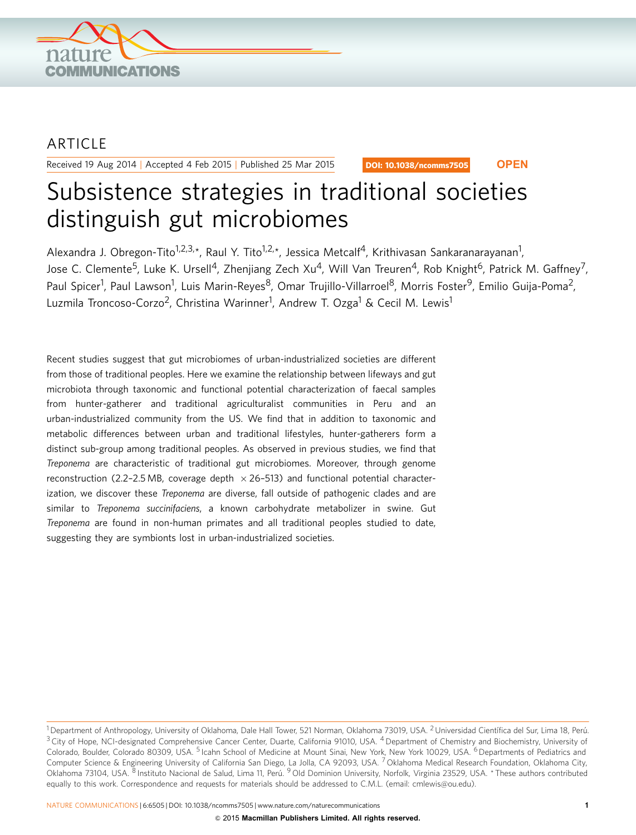

## ARTICLE

Received 19 Aug 2014 | Accepted 4 Feb 2015 | Published 25 Mar 2015

DOI: 10.1038/ncomms7505 **OPEN**

# Subsistence strategies in traditional societies distinguish gut microbiomes

Alexandra J. Obregon-Tito<sup>1,2,3,\*</sup>, Raul Y. Tito<sup>1,2,\*</sup>, Jessica Metcalf<sup>4</sup>, Krithivasan Sankaranarayanan<sup>1</sup>, Jose C. Clemente<sup>5</sup>, Luke K. Ursell<sup>4</sup>, Zhenjiang Zech Xu<sup>4</sup>, Will Van Treuren<sup>4</sup>, Rob Knight<sup>6</sup>, Patrick M. Gaffney<sup>7</sup>, Paul Spicer<sup>1</sup>, Paul Lawson<sup>1</sup>, Luis Marin-Reyes<sup>8</sup>, Omar Trujillo-Villarroel<sup>8</sup>, Morris Foster<sup>9</sup>, Emilio Guija-Poma<sup>2</sup>, Luzmila Troncoso-Corzo<sup>2</sup>, Christina Warinner<sup>1</sup>, Andrew T. Ozga<sup>1</sup> & Cecil M. Lewis<sup>1</sup>

Recent studies suggest that gut microbiomes of urban-industrialized societies are different from those of traditional peoples. Here we examine the relationship between lifeways and gut microbiota through taxonomic and functional potential characterization of faecal samples from hunter-gatherer and traditional agriculturalist communities in Peru and an urban-industrialized community from the US. We find that in addition to taxonomic and metabolic differences between urban and traditional lifestyles, hunter-gatherers form a distinct sub-group among traditional peoples. As observed in previous studies, we find that Treponema are characteristic of traditional gut microbiomes. Moreover, through genome reconstruction (2.2-2.5 MB, coverage depth  $\times$  26-513) and functional potential characterization, we discover these Treponema are diverse, fall outside of pathogenic clades and are similar to Treponema succinifaciens, a known carbohydrate metabolizer in swine. Gut Treponema are found in non-human primates and all traditional peoples studied to date, suggesting they are symbionts lost in urban-industrialized societies.

<sup>1</sup> Department of Anthropology, University of Oklahoma, Dale Hall Tower, 521 Norman, Oklahoma 73019, USA. <sup>2</sup> Universidad Científica del Sur, Lima 18, Perú.  $3$  City of Hope, NCI-designated Comprehensive Cancer Center, Duarte, California 91010, USA.  $4$  Department of Chemistry and Biochemistry, University of Colorado, Boulder, Colorado 80309, USA. <sup>5</sup> Icahn School of Medicine at Mount Sinai, New York, New York 10029, USA. <sup>6</sup> Departments of Pediatrics and Computer Science & Engineering University of California San Diego, La Jolla, CA 92093, USA. <sup>7</sup> Oklahoma Medical Research Foundation, Oklahoma City, Oklahoma 73104, USA. <sup>8</sup> Instituto Nacional de Salud, Lima 11, Perú. <sup>9</sup> Old Dominion University, Norfolk, Virginia 23529, USA. \* These authors contributed equally to this work. Correspondence and requests for materials should be addressed to C.M.L. (email: [cmlewis@ou.edu](mailto:cmlewis@ou.edu)).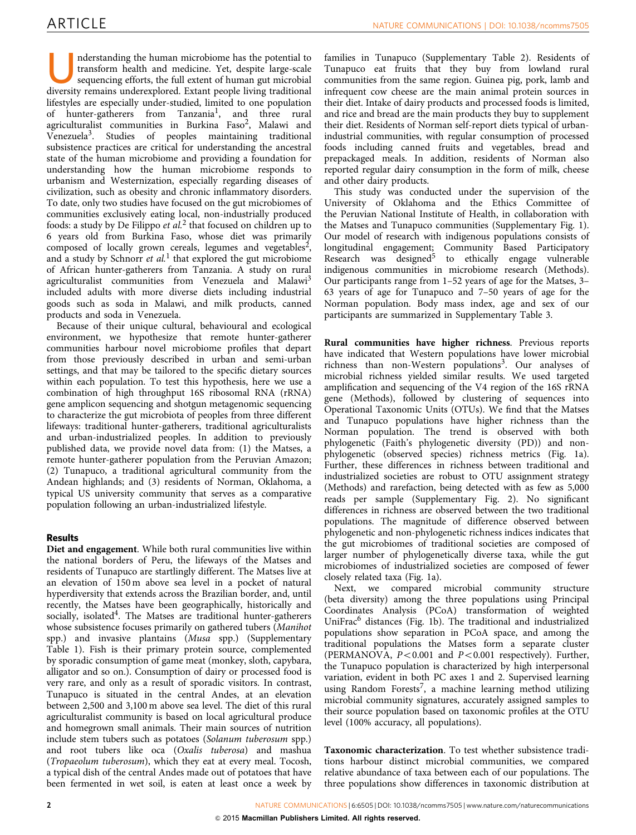nderstanding the human microbiome has the potential to transform health and medicine. Yet, despite large-scale sequencing efforts, the full extent of human gut microbial diversity remains underexplored. Extant people livin transform health and medicine. Yet, despite large-scale diversity remains underexplored. Extant people living traditional lifestyles are especially under-studied, limited to one population of hunter-gatherers from Tanzania<sup>1</sup>, and three rural agriculturalist communities in Burkina Faso<sup>2</sup>, Malawi and Venezuela[3](#page-7-0). Studies of peoples maintaining traditional subsistence practices are critical for understanding the ancestral state of the human microbiome and providing a foundation for understanding how the human microbiome responds to urbanism and Westernization, especially regarding diseases of civilization, such as obesity and chronic inflammatory disorders. To date, only two studies have focused on the gut microbiomes of communities exclusively eating local, non-industrially produced foods: a study by De Filippo *et al.*<sup>[2](#page-7-0)</sup> that focused on children up to 6 years old from Burkina Faso, whose diet was primarily composed of locally grown cereals, legumes and vegetables<sup>2</sup>, and a study by Schnorr et  $al$ <sup>[1](#page-7-0)</sup> that explored the gut microbiome of African hunter-gatherers from Tanzania. A study on rural agriculturalist communities from Venezuela and Malawi<sup>[3](#page-7-0)</sup> included adults with more diverse diets including industrial goods such as soda in Malawi, and milk products, canned products and soda in Venezuela.

Because of their unique cultural, behavioural and ecological environment, we hypothesize that remote hunter-gatherer communities harbour novel microbiome profiles that depart from those previously described in urban and semi-urban settings, and that may be tailored to the specific dietary sources within each population. To test this hypothesis, here we use a combination of high throughput 16S ribosomal RNA (rRNA) gene amplicon sequencing and shotgun metagenomic sequencing to characterize the gut microbiota of peoples from three different lifeways: traditional hunter-gatherers, traditional agriculturalists and urban-industrialized peoples. In addition to previously published data, we provide novel data from: (1) the Matses, a remote hunter-gatherer population from the Peruvian Amazon; (2) Tunapuco, a traditional agricultural community from the Andean highlands; and (3) residents of Norman, Oklahoma, a typical US university community that serves as a comparative population following an urban-industrialized lifestyle.

### Results

Diet and engagement. While both rural communities live within the national borders of Peru, the lifeways of the Matses and residents of Tunapuco are startlingly different. The Matses live at an elevation of 150 m above sea level in a pocket of natural hyperdiversity that extends across the Brazilian border, and, until recently, the Matses have been geographically, historically and socially, isolated<sup>4</sup>. The Matses are traditional hunter-gatherers whose subsistence focuses primarily on gathered tubers (Manihot spp.) and invasive plantains (Musa spp.) (Supplementary Table 1). Fish is their primary protein source, complemented by sporadic consumption of game meat (monkey, sloth, capybara, alligator and so on.). Consumption of dairy or processed food is very rare, and only as a result of sporadic visitors. In contrast, Tunapuco is situated in the central Andes, at an elevation between 2,500 and 3,100 m above sea level. The diet of this rural agriculturalist community is based on local agricultural produce and homegrown small animals. Their main sources of nutrition include stem tubers such as potatoes (Solanum tuberosum spp.) and root tubers like oca (Oxalis tuberosa) and mashua (Tropaeolum tuberosum), which they eat at every meal. Tocosh, a typical dish of the central Andes made out of potatoes that have been fermented in wet soil, is eaten at least once a week by families in Tunapuco (Supplementary Table 2). Residents of Tunapuco eat fruits that they buy from lowland rural communities from the same region. Guinea pig, pork, lamb and infrequent cow cheese are the main animal protein sources in their diet. Intake of dairy products and processed foods is limited, and rice and bread are the main products they buy to supplement their diet. Residents of Norman self-report diets typical of urbanindustrial communities, with regular consumption of processed foods including canned fruits and vegetables, bread and prepackaged meals. In addition, residents of Norman also reported regular dairy consumption in the form of milk, cheese and other dairy products.

This study was conducted under the supervision of the University of Oklahoma and the Ethics Committee of the Peruvian National Institute of Health, in collaboration with the Matses and Tunapuco communities (Supplementary Fig. 1). Our model of research with indigenous populations consists of longitudinal engagement; Community Based Participatory Research was designed<sup>[5](#page-7-0)</sup> to ethically engage vulnerable indigenous communities in microbiome research (Methods). Our participants range from 1–52 years of age for the Matses, 3– 63 years of age for Tunapuco and 7–50 years of age for the Norman population. Body mass index, age and sex of our participants are summarized in Supplementary Table 3.

Rural communities have higher richness. Previous reports have indicated that Western populations have lower microbial richness than non-Western populations<sup>3</sup>. Our analyses of microbial richness yielded similar results. We used targeted amplification and sequencing of the V4 region of the 16S rRNA gene (Methods), followed by clustering of sequences into Operational Taxonomic Units (OTUs). We find that the Matses and Tunapuco populations have higher richness than the Norman population. The trend is observed with both phylogenetic (Faith's phylogenetic diversity (PD)) and nonphylogenetic (observed species) richness metrics [\(Fig. 1a](#page-2-0)). Further, these differences in richness between traditional and industrialized societies are robust to OTU assignment strategy (Methods) and rarefaction, being detected with as few as 5,000 reads per sample (Supplementary Fig. 2). No significant differences in richness are observed between the two traditional populations. The magnitude of difference observed between phylogenetic and non-phylogenetic richness indices indicates that the gut microbiomes of traditional societies are composed of larger number of phylogenetically diverse taxa, while the gut microbiomes of industrialized societies are composed of fewer closely related taxa ([Fig. 1a](#page-2-0)).

Next, we compared microbial community structure (beta diversity) among the three populations using Principal Coordinates Analysis (PCoA) transformation of weighted UniFrac<sup>[6](#page-7-0)</sup> distances ([Fig. 1b\)](#page-2-0). The traditional and industrialized populations show separation in PCoA space, and among the traditional populations the Matses form a separate cluster (PERMANOVA,  $P < 0.001$  and  $P < 0.001$  respectively). Further, the Tunapuco population is characterized by high interpersonal variation, evident in both PC axes 1 and 2. Supervised learning using Random Forests<sup>7</sup>, a machine learning method utilizing microbial community signatures, accurately assigned samples to their source population based on taxonomic profiles at the OTU level (100% accuracy, all populations).

Taxonomic characterization. To test whether subsistence traditions harbour distinct microbial communities, we compared relative abundance of taxa between each of our populations. The three populations show differences in taxonomic distribution at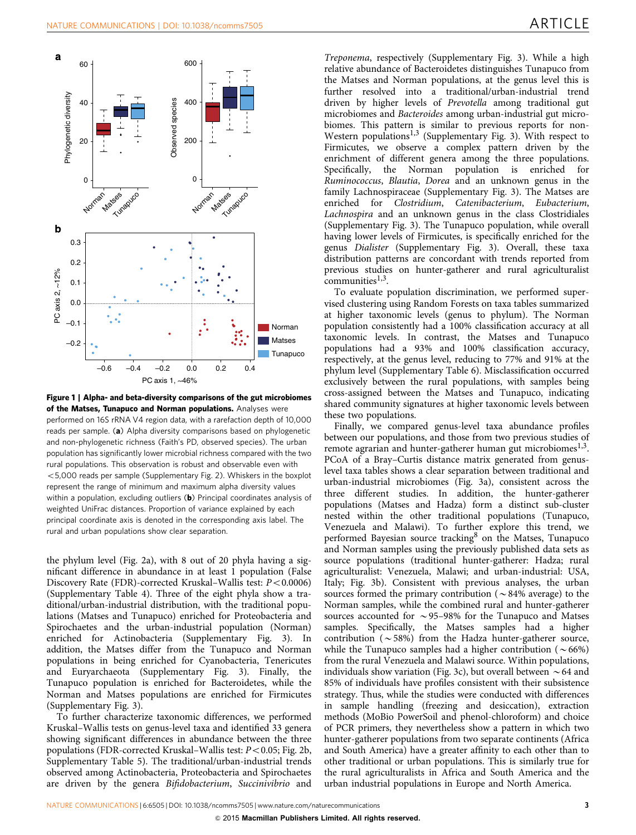<span id="page-2-0"></span>

Figure 1 | Alpha- and beta-diversity comparisons of the gut microbiomes of the Matses, Tunapuco and Norman populations. Analyses were performed on 16S rRNA V4 region data, with a rarefaction depth of 10,000 reads per sample. (a) Alpha diversity comparisons based on phylogenetic and non-phylogenetic richness (Faith's PD, observed species). The urban population has significantly lower microbial richness compared with the two rural populations. This observation is robust and observable even with  $<$  5,000 reads per sample (Supplementary Fig. 2). Whiskers in the boxplot represent the range of minimum and maximum alpha diversity values within a population, excluding outliers  $(b)$  Principal coordinates analysis of weighted UniFrac distances. Proportion of variance explained by each principal coordinate axis is denoted in the corresponding axis label. The rural and urban populations show clear separation.

the phylum level [\(Fig. 2a](#page-3-0)), with 8 out of 20 phyla having a significant difference in abundance in at least 1 population (False Discovery Rate (FDR)-corrected Kruskal–Wallis test:  $P < 0.0006$ ) (Supplementary Table 4). Three of the eight phyla show a traditional/urban-industrial distribution, with the traditional populations (Matses and Tunapuco) enriched for Proteobacteria and Spirochaetes and the urban-industrial population (Norman) enriched for Actinobacteria (Supplementary Fig. 3). In addition, the Matses differ from the Tunapuco and Norman populations in being enriched for Cyanobacteria, Tenericutes and Euryarchaeota (Supplementary Fig. 3). Finally, the Tunapuco population is enriched for Bacteroidetes, while the Norman and Matses populations are enriched for Firmicutes (Supplementary Fig. 3).

To further characterize taxonomic differences, we performed Kruskal–Wallis tests on genus-level taxa and identified 33 genera showing significant differences in abundance between the three populations (FDR-corrected Kruskal–Wallis test:  $P < 0.05$ ; [Fig. 2b,](#page-3-0) Supplementary Table 5). The traditional/urban-industrial trends observed among Actinobacteria, Proteobacteria and Spirochaetes are driven by the genera Bifidobacterium, Succinivibrio and

Treponema, respectively (Supplementary Fig. 3). While a high relative abundance of Bacteroidetes distinguishes Tunapuco from the Matses and Norman populations, at the genus level this is further resolved into a traditional/urban-industrial trend driven by higher levels of Prevotella among traditional gut microbiomes and Bacteroides among urban-industrial gut microbiomes. This pattern is similar to previous reports for non-Western populations<sup>[1,3](#page-7-0)</sup> (Supplementary Fig. 3). With respect to Firmicutes, we observe a complex pattern driven by the enrichment of different genera among the three populations. Specifically, the Norman population is enriched for Ruminococcus, Blautia, Dorea and an unknown genus in the family Lachnospiraceae (Supplementary Fig. 3). The Matses are enriched for Clostridium, Catenibacterium, Eubacterium, Lachnospira and an unknown genus in the class Clostridiales (Supplementary Fig. 3). The Tunapuco population, while overall having lower levels of Firmicutes, is specifically enriched for the genus Dialister (Supplementary Fig. 3). Overall, these taxa distribution patterns are concordant with trends reported from previous studies on hunter-gatherer and rural agriculturalist communities $1,3$ .

To evaluate population discrimination, we performed supervised clustering using Random Forests on taxa tables summarized at higher taxonomic levels (genus to phylum). The Norman population consistently had a 100% classification accuracy at all taxonomic levels. In contrast, the Matses and Tunapuco populations had a 93% and 100% classification accuracy, respectively, at the genus level, reducing to 77% and 91% at the phylum level (Supplementary Table 6). Misclassification occurred exclusively between the rural populations, with samples being cross-assigned between the Matses and Tunapuco, indicating shared community signatures at higher taxonomic levels between these two populations.

Finally, we compared genus-level taxa abundance profiles between our populations, and those from two previous studies of remote agrarian and hunter-gatherer human gut microbiomes<sup>1,3</sup>. PCoA of a Bray–Curtis distance matrix generated from genuslevel taxa tables shows a clear separation between traditional and urban-industrial microbiomes [\(Fig. 3a\)](#page-4-0), consistent across the three different studies. In addition, the hunter-gatherer populations (Matses and Hadza) form a distinct sub-cluster nested within the other traditional populations (Tunapuco, Venezuela and Malawi). To further explore this trend, we performed Bayesian source tracking<sup>[8](#page-7-0)</sup> on the Matses, Tunapuco and Norman samples using the previously published data sets as source populations (traditional hunter-gatherer: Hadza; rural agriculturalist: Venezuela, Malawi; and urban-industrial: USA, Italy; [Fig. 3b\)](#page-4-0). Consistent with previous analyses, the urban sources formed the primary contribution ( $\sim$  84% average) to the Norman samples, while the combined rural and hunter-gatherer sources accounted for  $\sim$  95–98% for the Tunapuco and Matses samples. Specifically, the Matses samples had a higher contribution ( $\sim$  58%) from the Hadza hunter-gatherer source, while the Tunapuco samples had a higher contribution ( $\sim 66\%$ ) from the rural Venezuela and Malawi source. Within populations, individuals show variation ([Fig. 3c](#page-4-0)), but overall between  $\sim$  64 and 85% of individuals have profiles consistent with their subsistence strategy. Thus, while the studies were conducted with differences in sample handling (freezing and desiccation), extraction methods (MoBio PowerSoil and phenol-chloroform) and choice of PCR primers, they nevertheless show a pattern in which two hunter-gatherer populations from two separate continents (Africa and South America) have a greater affinity to each other than to other traditional or urban populations. This is similarly true for the rural agriculturalists in Africa and South America and the urban industrial populations in Europe and North America.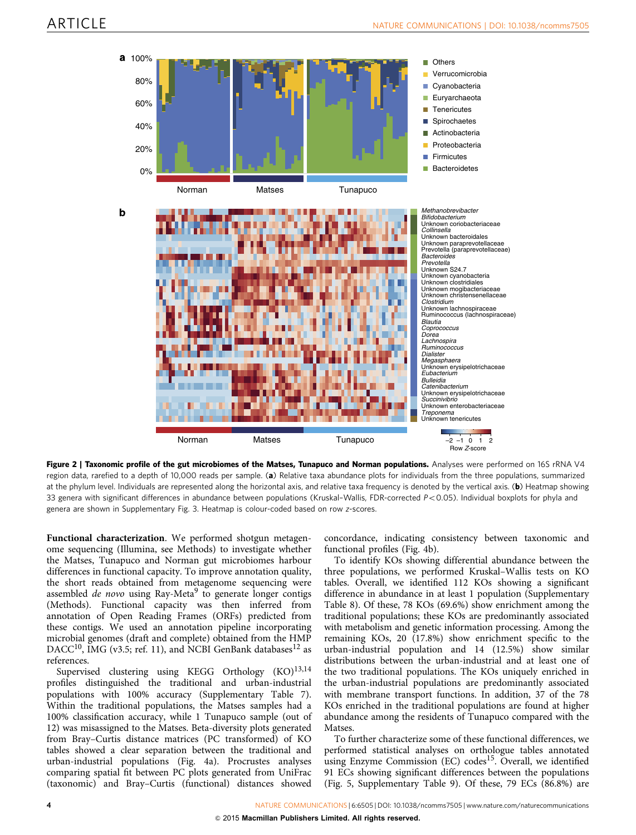<span id="page-3-0"></span>

Figure 2 | Taxonomic profile of the gut microbiomes of the Matses, Tunapuco and Norman populations. Analyses were performed on 16S rRNA V4 region data, rarefied to a depth of 10,000 reads per sample. (a) Relative taxa abundance plots for individuals from the three populations, summarized at the phylum level. Individuals are represented along the horizontal axis, and relative taxa frequency is denoted by the vertical axis. (b) Heatmap showing 33 genera with significant differences in abundance between populations (Kruskal-Wallis, FDR-corrected  $P < 0.05$ ). Individual boxplots for phyla and genera are shown in Supplementary Fig. 3. Heatmap is colour-coded based on row z-scores.

Functional characterization. We performed shotgun metagenome sequencing (Illumina, see Methods) to investigate whether the Matses, Tunapuco and Norman gut microbiomes harbour differences in functional capacity. To improve annotation quality, the short reads obtained from metagenome sequencing were assembled de novo using Ray-Meta<sup>[9](#page-7-0)</sup> to generate longer contigs (Methods). Functional capacity was then inferred from annotation of Open Reading Frames (ORFs) predicted from these contigs. We used an annotation pipeline incorporating microbial genomes (draft and complete) obtained from the HMP DACC<sup>10</sup>, IMG (v3.5; [ref. 11](#page-8-0)), and NCBI GenBank databases<sup>[12](#page-8-0)</sup> as references.

Supervised clustering using KEGG Orthology  $(KO)^{13,14}$  $(KO)^{13,14}$  $(KO)^{13,14}$ profiles distinguished the traditional and urban-industrial populations with 100% accuracy (Supplementary Table 7). Within the traditional populations, the Matses samples had a 100% classification accuracy, while 1 Tunapuco sample (out of 12) was misassigned to the Matses. Beta-diversity plots generated from Bray–Curtis distance matrices (PC transformed) of KO tables showed a clear separation between the traditional and urban-industrial populations [\(Fig. 4a\)](#page-4-0). Procrustes analyses comparing spatial fit between PC plots generated from UniFrac (taxonomic) and Bray–Curtis (functional) distances showed

concordance, indicating consistency between taxonomic and functional profiles ([Fig. 4b\)](#page-4-0).

To identify KOs showing differential abundance between the three populations, we performed Kruskal–Wallis tests on KO tables. Overall, we identified 112 KOs showing a significant difference in abundance in at least 1 population (Supplementary Table 8). Of these, 78 KOs (69.6%) show enrichment among the traditional populations; these KOs are predominantly associated with metabolism and genetic information processing. Among the remaining KOs, 20 (17.8%) show enrichment specific to the urban-industrial population and 14 (12.5%) show similar distributions between the urban-industrial and at least one of the two traditional populations. The KOs uniquely enriched in the urban-industrial populations are predominantly associated with membrane transport functions. In addition, 37 of the 78 KOs enriched in the traditional populations are found at higher abundance among the residents of Tunapuco compared with the Matses.

To further characterize some of these functional differences, we performed statistical analyses on orthologue tables annotated using Enzyme Commission (EC) codes<sup>[15](#page-8-0)</sup>. Overall, we identified 91 ECs showing significant differences between the populations ([Fig. 5](#page-5-0), Supplementary Table 9). Of these, 79 ECs (86.8%) are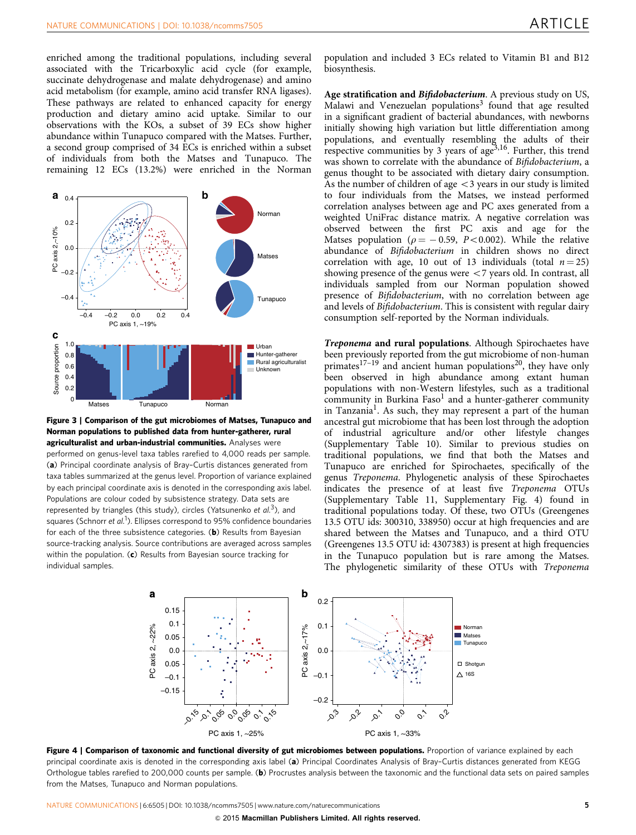<span id="page-4-0"></span>enriched among the traditional populations, including several associated with the Tricarboxylic acid cycle (for example, succinate dehydrogenase and malate dehydrogenase) and amino acid metabolism (for example, amino acid transfer RNA ligases). These pathways are related to enhanced capacity for energy production and dietary amino acid uptake. Similar to our observations with the KOs, a subset of 39 ECs show higher abundance within Tunapuco compared with the Matses. Further, a second group comprised of 34 ECs is enriched within a subset of individuals from both the Matses and Tunapuco. The remaining 12 ECs (13.2%) were enriched in the Norman



Figure 3 | Comparison of the gut microbiomes of Matses, Tunapuco and Norman populations to published data from hunter-gatherer, rural agriculturalist and urban-industrial communities. Analyses were performed on genus-level taxa tables rarefied to 4,000 reads per sample. (a) Principal coordinate analysis of Bray–Curtis distances generated from taxa tables summarized at the genus level. Proportion of variance explained by each principal coordinate axis is denoted in the corresponding axis label. Populations are colour coded by subsistence strategy. Data sets are represented by triangles (this study), circles (Yatsunenko et  $al$ <sup>3</sup>), and squares (Schnorr et al.<sup>[1](#page-7-0)</sup>). Ellipses correspond to 95% confidence boundaries for each of the three subsistence categories. ( $\mathbf{b}$ ) Results from Bayesian source-tracking analysis. Source contributions are averaged across samples within the population. (c) Results from Bayesian source tracking for individual samples.

population and included 3 ECs related to Vitamin B1 and B12 biosynthesis.

Age stratification and Bifidobacterium. A previous study on US, Malawi and Venezuelan populations<sup>[3](#page-7-0)</sup> found that age resulted in a significant gradient of bacterial abundances, with newborns initially showing high variation but little differentiation among populations, and eventually resembling the adults of their respective communities by 3 years of age<sup>[3,16](#page-7-0)</sup>. Further, this trend was shown to correlate with the abundance of Bifidobacterium, a genus thought to be associated with dietary dairy consumption. As the number of children of age  $\lt$  3 years in our study is limited to four individuals from the Matses, we instead performed correlation analyses between age and PC axes generated from a weighted UniFrac distance matrix. A negative correlation was observed between the first PC axis and age for the Matses population ( $\rho = -0.59$ , P<0.002). While the relative abundance of Bifidobacterium in children shows no direct correlation with age, 10 out of 13 individuals (total  $n = 25$ ) showing presence of the genus were  $<$  7 years old. In contrast, all individuals sampled from our Norman population showed presence of Bifidobacterium, with no correlation between age and levels of Bifidobacterium. This is consistent with regular dairy consumption self-reported by the Norman individuals.

Treponema and rural populations. Although Spirochaetes have been previously reported from the gut microbiome of non-human primates<sup>[17–19](#page-8-0)</sup> and ancient human populations<sup>[20](#page-8-0)</sup>, they have only been observed in high abundance among extant human populations with non-Western lifestyles, such as a traditional community in Burkina  $Faso<sup>1</sup>$  $Faso<sup>1</sup>$  $Faso<sup>1</sup>$  and a hunter-gatherer community in Tanzania<sup>[1](#page-7-0)</sup>. As such, they may represent a part of the human ancestral gut microbiome that has been lost through the adoption of industrial agriculture and/or other lifestyle changes (Supplementary Table 10). Similar to previous studies on traditional populations, we find that both the Matses and Tunapuco are enriched for Spirochaetes, specifically of the genus Treponema. Phylogenetic analysis of these Spirochaetes indicates the presence of at least five Treponema OTUs (Supplementary Table 11, Supplementary Fig. 4) found in traditional populations today. Of these, two OTUs (Greengenes 13.5 OTU ids: 300310, 338950) occur at high frequencies and are shared between the Matses and Tunapuco, and a third OTU (Greengenes 13.5 OTU id: 4307383) is present at high frequencies in the Tunapuco population but is rare among the Matses. The phylogenetic similarity of these OTUs with Treponema



Figure 4 | Comparison of taxonomic and functional diversity of gut microbiomes between populations. Proportion of variance explained by each principal coordinate axis is denoted in the corresponding axis label (a) Principal Coordinates Analysis of Bray–Curtis distances generated from KEGG Orthologue tables rarefied to 200,000 counts per sample. (b) Procrustes analysis between the taxonomic and the functional data sets on paired samples from the Matses, Tunapuco and Norman populations.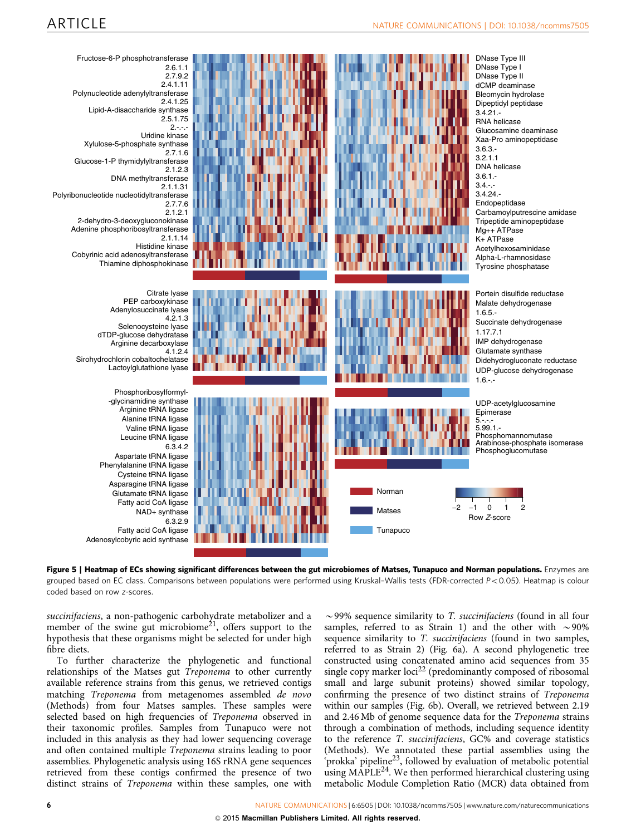<span id="page-5-0"></span>

Figure 5 | Heatmap of ECs showing significant differences between the gut microbiomes of Matses, Tunapuco and Norman populations. Enzymes are grouped based on EC class. Comparisons between populations were performed using Kruskal-Wallis tests (FDR-corrected P<0.05). Heatmap is colour coded based on row z-scores.

succinifaciens, a non-pathogenic carbohydrate metabolizer and a member of the swine gut microbiome<sup>21</sup>, offers support to the hypothesis that these organisms might be selected for under high fibre diets.

To further characterize the phylogenetic and functional relationships of the Matses gut Treponema to other currently available reference strains from this genus, we retrieved contigs matching Treponema from metagenomes assembled de novo (Methods) from four Matses samples. These samples were selected based on high frequencies of Treponema observed in their taxonomic profiles. Samples from Tunapuco were not included in this analysis as they had lower sequencing coverage and often contained multiple Treponema strains leading to poor assemblies. Phylogenetic analysis using 16S rRNA gene sequences retrieved from these contigs confirmed the presence of two distinct strains of Treponema within these samples, one with

 $\sim$ 99% sequence similarity to *T. succinifaciens* (found in all four samples, referred to as Strain 1) and the other with  $\sim$ 90% sequence similarity to *T. succinifaciens* (found in two samples, referred to as Strain 2) ([Fig. 6a\)](#page-6-0). A second phylogenetic tree constructed using concatenated amino acid sequences from 35 single copy marker  $\text{loci}^{22}$  $\text{loci}^{22}$  $\text{loci}^{22}$  (predominantly composed of ribosomal small and large subunit proteins) showed similar topology, confirming the presence of two distinct strains of Treponema within our samples ([Fig. 6b](#page-6-0)). Overall, we retrieved between 2.19 and 2.46 Mb of genome sequence data for the Treponema strains through a combination of methods, including sequence identity to the reference T. succinifaciens, GC% and coverage statistics (Methods). We annotated these partial assemblies using the 'prokka' pipeline<sup>23</sup>, followed by evaluation of metabolic potential using MAPLE<sup>[24](#page-8-0)</sup>. We then performed hierarchical clustering using metabolic Module Completion Ratio (MCR) data obtained from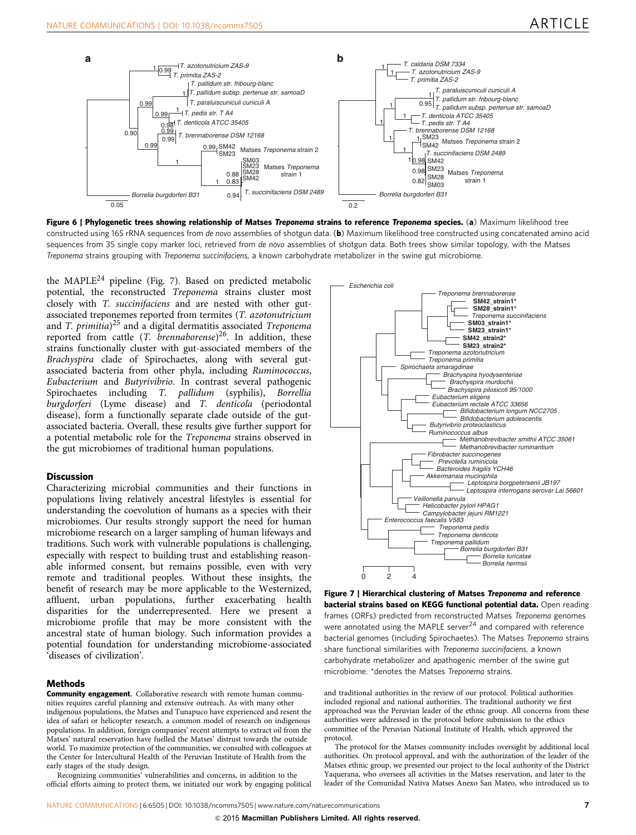<span id="page-6-0"></span>

Figure 6 | Phylogenetic trees showing relationship of Matses Treponema strains to reference Treponema species. (a) Maximum likelihood tree constructed using 16S rRNA sequences from de novo assemblies of shotgun data. (b) Maximum likelihood tree constructed using concatenated amino acid sequences from 35 single copy marker loci, retrieved from de novo assemblies of shotgun data. Both trees show similar topology, with the Matses Treponema strains grouping with Treponema succinifaciens, a known carbohydrate metabolizer in the swine gut microbiome.

the MAPLE<sup>[24](#page-8-0)</sup> pipeline (Fig. 7). Based on predicted metabolic potential, the reconstructed Treponema strains cluster most closely with T. succinifaciens and are nested with other gutassociated treponemes reported from termites (T. azotonutricium and *T. primitia*)<sup>[25](#page-8-0)</sup> and a digital dermatitis associated *Treponema* reported from cattle (T. brennaborense)<sup>[26](#page-8-0)</sup>. In addition, these strains functionally cluster with gut-associated members of the Brachyspira clade of Spirochaetes, along with several gutassociated bacteria from other phyla, including Ruminococcus, Eubacterium and Butyrivibrio. In contrast several pathogenic Spirochaetes including T. pallidum (syphilis), Borrellia burgdorferi (Lyme disease) and T. denticola (periodontal disease), form a functionally separate clade outside of the gutassociated bacteria. Overall, these results give further support for a potential metabolic role for the Treponema strains observed in the gut microbiomes of traditional human populations.

#### **Discussion**

Characterizing microbial communities and their functions in populations living relatively ancestral lifestyles is essential for understanding the coevolution of humans as a species with their microbiomes. Our results strongly support the need for human microbiome research on a larger sampling of human lifeways and traditions. Such work with vulnerable populations is challenging, especially with respect to building trust and establishing reasonable informed consent, but remains possible, even with very remote and traditional peoples. Without these insights, the benefit of research may be more applicable to the Westernized, affluent, urban populations, further exacerbating health disparities for the underrepresented. Here we present a microbiome profile that may be more consistent with the ancestral state of human biology. Such information provides a potential foundation for understanding microbiome-associated 'diseases of civilization'.

#### Methods

Community engagement. Collaborative research with remote human communities requires careful planning and extensive outreach. As with many other indigenous populations, the Matses and Tunapuco have experienced and resent the idea of safari or helicopter research, a common model of research on indigenous populations. In addition, foreign companies' recent attempts to extract oil from the Matses' natural reservation have fuelled the Matses' distrust towards the outside world. To maximize protection of the communities, we consulted with colleagues at the Center for Intercultural Health of the Peruvian Institute of Health from the early stages of the study design.

Recognizing communities' vulnerabilities and concerns, in addition to the official efforts aiming to protect them, we initiated our work by engaging political



Figure 7 | Hierarchical clustering of Matses Treponema and reference bacterial strains based on KEGG functional potential data. Open reading frames (ORFs) predicted from reconstructed Matses Treponema genomes were annotated using the MAPLE server $^{24}$  and compared with reference bacterial genomes (including Spirochaetes). The Matses Treponema strains share functional similarities with Treponema succinifaciens, a known carbohydrate metabolizer and apathogenic member of the swine gut microbiome. \*denotes the Matses Treponema strains.

and traditional authorities in the review of our protocol. Political authorities included regional and national authorities. The traditional authority we first approached was the Peruvian leader of the ethnic group. All concerns from these authorities were addressed in the protocol before submission to the ethics committee of the Peruvian National Institute of Health, which approved the protocol.

The protocol for the Matses community includes oversight by additional local authorities. On protocol approval, and with the authorization of the leader of the Matses ethnic group, we presented our project to the local authority of the District Yaquerana, who oversees all activities in the Matses reservation, and later to the leader of the Comunidad Nativa Matses Anexo San Mateo, who introduced us to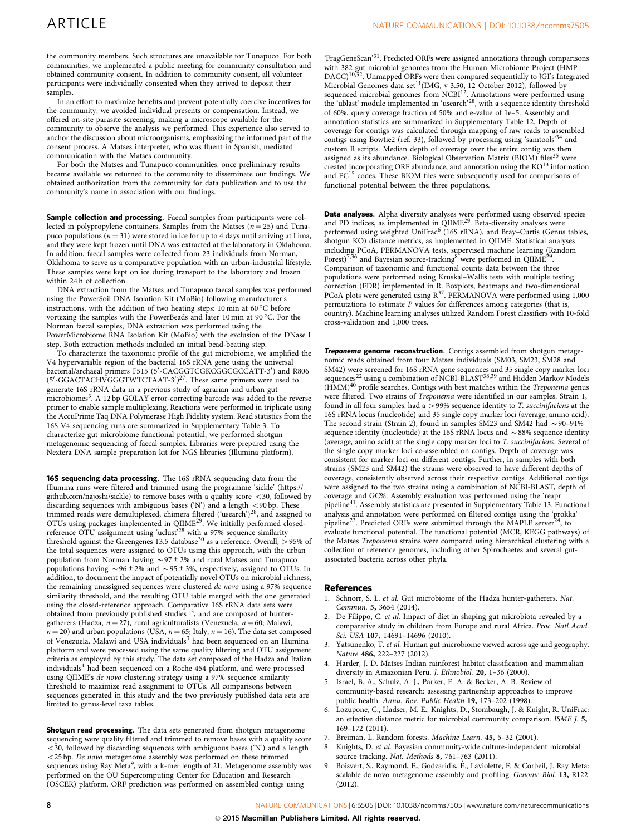<span id="page-7-0"></span>the community members. Such structures are unavailable for Tunapuco. For both communities, we implemented a public meeting for community consultation and obtained community consent. In addition to community consent, all volunteer participants were individually consented when they arrived to deposit their samples.

In an effort to maximize benefits and prevent potentially coercive incentives for the community, we avoided individual presents or compensation. Instead, we offered on-site parasite screening, making a microscope available for the community to observe the analysis we performed. This experience also served to anchor the discussion about microorganisms, emphasizing the informed part of the consent process. A Matses interpreter, who was fluent in Spanish, mediated communication with the Matses community.

For both the Matses and Tunapuco communities, once preliminary results became available we returned to the community to disseminate our findings. We obtained authorization from the community for data publication and to use the community's name in association with our findings.

Sample collection and processing. Faecal samples from participants were collected in polypropylene containers. Samples from the Matses  $(n = 25)$  and Tunapuco populations ( $n = 31$ ) were stored in ice for up to 4 days until arriving at Lima, and they were kept frozen until DNA was extracted at the laboratory in Oklahoma. In addition, faecal samples were collected from 23 individuals from Norman, Oklahoma to serve as a comparative population with an urban-industrial lifestyle. These samples were kept on ice during transport to the laboratory and frozen within 24 h of collection.

DNA extraction from the Matses and Tunapuco faecal samples was performed using the PowerSoil DNA Isolation Kit (MoBio) following manufacturer's instructions, with the addition of two heating steps: 10 min at 60  $^{\circ}\mathrm{C}$  before vortexing the samples with the PowerBeads and later 10 min at 90 °C. For the Norman faecal samples, DNA extraction was performed using the PowerMicrobiome RNA Isolation Kit (MoBio) with the exclusion of the DNase I step. Both extraction methods included an initial bead-beating step.

To characterize the taxonomic profile of the gut microbiome, we amplified the V4 hypervariable region of the bacterial 16S rRNA gene using the universal bacterial/archaeal primers F515 (5'-CACGGTCGKCGGCGCCATT-3') and R806  $(5'$ -GGACTACHVGGGTWTCTAAT-3')<sup>27</sup>. These same primers were used to generate 16S rRNA data in a previous study of agrarian and urban gut microbiomes<sup>3</sup>. A 12 bp GOLAY error-correcting barcode was added to the reverse primer to enable sample multiplexing. Reactions were performed in triplicate using the AccuPrime Taq DNA Polymerase High Fidelity system. Read statistics from the 16S V4 sequencing runs are summarized in Supplementary Table 3. To characterize gut microbiome functional potential, we performed shotgun metagenomic sequencing of faecal samples. Libraries were prepared using the Nextera DNA sample preparation kit for NGS libraries (Illumina platform).

16S sequencing data processing. The 16S rRNA sequencing data from the Illumina runs were filtered and trimmed using the programme 'sickle' [\(https://](https://github.com/najoshi/sickle) [github.com/najoshi/sickle](https://github.com/najoshi/sickle)) to remove bases with a quality score  $<$  30, followed by discarding sequences with ambiguous bases ('N') and a length  $<$  90 bp. These trimmed reads were demultiplexed, chimera filtered ('usearch')[28](#page-8-0), and assigned to OTUs using packages implemented in QIIME<sup>[29](#page-8-0)</sup>. We initially performed closed-reference OTU assignment using 'uclust'<sup>[28](#page-8-0)</sup> with a 97% sequence similarity threshold against the Greengenes 13.5 database<sup>[30](#page-8-0)</sup> as a reference. Overall,  $>$  95% of the total sequences were assigned to OTUs using this approach, with the urban population from Norman having  $\sim$  97 ± 2% and rural Matses and Tunapuco populations having  $\sim$  96 ± 2% and  $\sim$  95 ± 3%, respectively, assigned to OTUs. In addition, to document the impact of potentially novel OTUs on microbial richness, the remaining unassigned sequences were clustered de novo using a 97% sequence similarity threshold, and the resulting OTU table merged with the one generated using the closed-reference approach. Comparative 16S rRNA data sets were obtained from previously published studies<sup>1,3</sup>, and are composed of huntergatherers (Hadza,  $n = 27$ ), rural agriculturalists (Venezuela,  $n = 60$ ; Malawi,  $n = 20$ ) and urban populations (USA,  $n = 65$ ; Italy,  $n = 16$ ). The data set composed of Venezuela, Malawi and USA individuals<sup>3</sup> had been sequenced on an Illumina platform and were processed using the same quality filtering and OTU assignment criteria as employed by this study. The data set composed of the Hadza and Italian individuals<sup>1</sup> had been sequenced on a Roche 454 platform, and were processed using QIIME's de novo clustering strategy using a 97% sequence similarity threshold to maximize read assignment to OTUs. All comparisons between sequences generated in this study and the two previously published data sets are limited to genus-level taxa tables.

Shotgun read processing. The data sets generated from shotgun metagenome sequencing were quality filtered and trimmed to remove bases with a quality score  $<$ 30, followed by discarding sequences with ambiguous bases ('N') and a length  $<$  25 bp. De novo metagenome assembly was performed on these trimmed sequences using Ray Meta<sup>9</sup>, with a k-mer length of 21. Metagenome assembly was performed on the OU Supercomputing Center for Education and Research (OSCER) platform. ORF prediction was performed on assembled contigs using

'FragGeneScan'[31](#page-8-0). Predicted ORFs were assigned annotations through comparisons with 382 gut microbial genomes from the Human Microbiome Project (HMP<br>DACC)<sup>[10,32](#page-8-0)</sup>. Unmapped ORFs were then compared sequentially to JGI's Integrated Microbial Genomes data set<sup>11</sup>(IMG, v 3.50, 12 October 2012), followed by sequenced microbial genomes from NCBI<sup>12</sup>. Annotations were performed using the 'ublast' module implemented in 'usearch'<sup>28</sup>, with a sequence identity threshold of 60%, query coverage fraction of 50% and e-value of 1e–5. Assembly and annotation statistics are summarized in Supplementary Table 12. Depth of coverage for contigs was calculated through mapping of raw reads to assembled contigs using Bowtie2 [\(ref. 33](#page-8-0)), followed by processing using 'samtools'[34](#page-8-0) and custom R scripts. Median depth of coverage over the entire contig was then assigned as its abundance. Biological Observation Matrix (BIOM) files<sup>[35](#page-8-0)</sup> were created incorporating ORF abundance, and annotation using the  $KO<sup>13</sup>$  $KO<sup>13</sup>$  $KO<sup>13</sup>$  information and EC<sup>[15](#page-8-0)</sup> codes. These BIOM files were subsequently used for comparisons of functional potential between the three populations.

Data analyses. Alpha diversity analyses were performed using observed species and PD indices, as implemented in QIIME<sup>[29](#page-8-0)</sup>. Beta-diversity analyses were performed using weighted UniFrac<sup>6</sup> (16S rRNA), and Bray–Curtis (Genus tables, shotgun KO) distance metrics, as implemented in QIIME. Statistical analyses including PCoA, PERMANOVA tests, supervised machine learning (Random Forest)7,36 and Bayesian source-tracking<sup>8</sup> were performed in QIIME[29](#page-8-0). Comparison of taxonomic and functional counts data between the three populations were performed using Kruskal–Wallis tests with multiple testing correction (FDR) implemented in R. Boxplots, heatmaps and two-dimensional PCoA plots were generated using  $R^{37}$ . PERMANOVA were performed using 1,000 permutations to estimate P values for differences among categories (that is, country). Machine learning analyses utilized Random Forest classifiers with 10-fold cross-validation and 1,000 trees.

**Treponema genome reconstruction.** Contigs assembled from shotgun metagenomic reads obtained from four Matses individuals (SM03, SM23, SM28 and SM42) were screened for 16S rRNA gene sequences and 35 single copy marker loci<br>sequences<sup>[22](#page-8-0)</sup> using a combination of NCBI-BLAST<sup>[38,39](#page-8-0)</sup> and Hidden Markov Models  $(HMM)^{40}$  $(HMM)^{40}$  $(HMM)^{40}$  profile searches. Contigs with best matches within the Treponema genus were filtered. Two strains of Treponema were identified in our samples. Strain 1, found in all four samples, had a  $>$  99% sequence identity to *T. succinifaciens* at the 16S rRNA locus (nucleotide) and 35 single copy marker loci (average, amino acid). The second strain (Strain 2), found in samples SM23 and SM42 had  $\sim$  90–91% sequence identity (nucleotide) at the 16S rRNA locus and  $\sim$  88% sequence identity (average, amino acid) at the single copy marker loci to T. succinifaciens. Several of the single copy marker loci co-assembled on contigs. Depth of coverage was consistent for marker loci on different contigs. Further, in samples with both strains (SM23 and SM42) the strains were observed to have different depths of coverage, consistently observed across their respective contigs. Additional contigs were assigned to the two strains using a combination of NCBI-BLAST, depth of coverage and GC%. Assembly evaluation was performed using the 'reapr' pipeline[41](#page-8-0). Assembly statistics are presented in Supplementary Table 13. Functional analysis and annotation were performed on filtered contigs using the 'prokka' pipeline<sup>[23](#page-8-0)</sup>. Predicted ORFs were submitted through the MAPLE server<sup>2</sup> evaluate functional potential. The functional potential (MCR, KEGG pathways) of the Matses Treponema strains were compared using hierarchical clustering with a collection of reference genomes, including other Spirochaetes and several gutassociated bacteria across other phyla.

#### References

- 1. Schnorr, S. L. et al. Gut microbiome of the Hadza hunter-gatherers. Nat. Commun. 5, 3654 (2014).
- 2. De Filippo, C. et al. Impact of diet in shaping gut microbiota revealed by a comparative study in children from Europe and rural Africa. Proc. Natl Acad. Sci. USA 107, 14691–14696 (2010).
- 3. Yatsunenko, T. et al. Human gut microbiome viewed across age and geography. Nature 486, 222–227 (2012).
- 4. Harder, J. D. Matses Indian rainforest habitat classification and mammalian diversity in Amazonian Peru. J. Ethnobiol. 20, 1–36 (2000).
- 5. Israel, B. A., Schulz, A. J., Parker, E. A. & Becker, A. B. Review of community-based research: assessing partnership approaches to improve public health. Annu. Rev. Public Health 19, 173–202 (1998).
- 6. Lozupone, C., Lladser, M. E., Knights, D., Stombaugh, J. & Knight, R. UniFrac: an effective distance metric for microbial community comparison. ISME J. 5, 169–172 (2011).
- 7. Breiman, L. Random forests. Machine Learn. 45, 5–32 (2001).
- 8. Knights, D. et al. Bayesian community-wide culture-independent microbial source tracking. Nat. Methods 8, 761-763 (2011).
- Boisvert, S., Raymond, F., Godzaridis, É., Laviolette, F. & Corbeil, J. Ray Meta: scalable de novo metagenome assembly and profiling. Genome Biol. 13, R122 (2012).